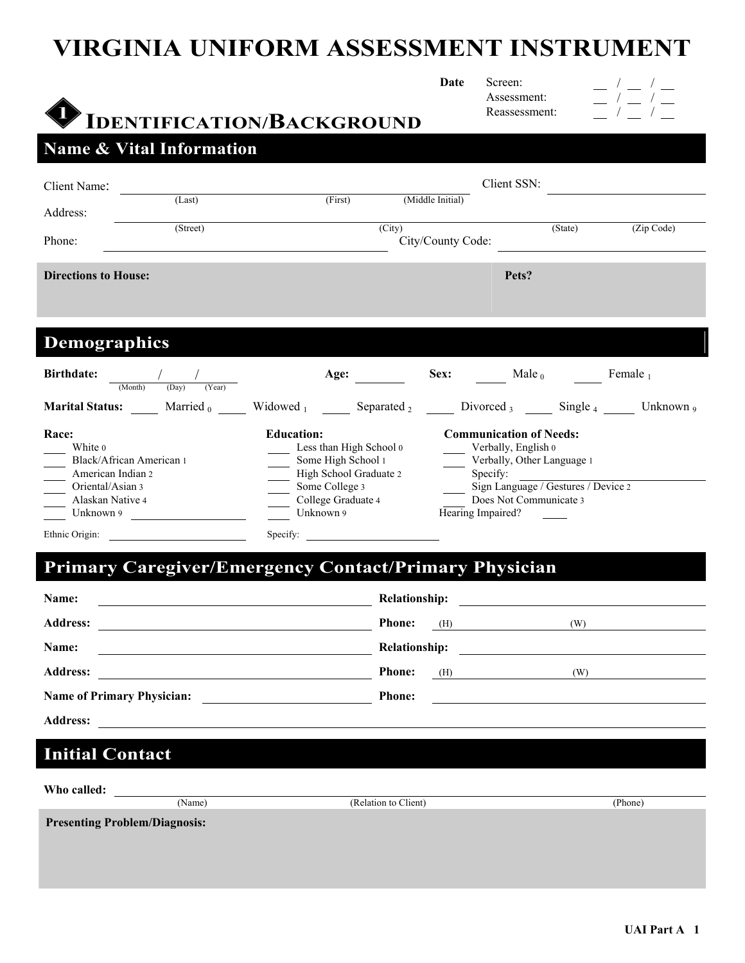# **VIRGINIA UNIFORM ASSESSMENT INSTRUMENT**

|                                                                                                        | <b>IDENTIFICATION/BACKGROUND</b> | Date              | Screen:<br>Assessment:<br>Reassessment: |                     |
|--------------------------------------------------------------------------------------------------------|----------------------------------|-------------------|-----------------------------------------|---------------------|
| <b>Name &amp; Vital Information</b>                                                                    |                                  |                   |                                         |                     |
| Client Name:                                                                                           |                                  |                   | Client SSN:                             |                     |
| (Last)<br>Address:                                                                                     | (First) (Middle Initial)         |                   |                                         |                     |
| (Street)<br>Phone:                                                                                     | (City)                           | City/County Code: | (State)                                 | (Zip Code)          |
| <b>Directions to House:</b>                                                                            |                                  |                   | Pets?                                   |                     |
|                                                                                                        |                                  |                   |                                         |                     |
| <b>Demographics</b>                                                                                    |                                  |                   |                                         |                     |
|                                                                                                        |                                  |                   |                                         |                     |
| <b>Birthdate:</b><br>$\frac{1}{(\text{Month}) \qquad (\text{Day})}$<br>(Year)                          | Age:                             |                   | $Sex:$ Male <sub>0</sub>                | Female <sub>1</sub> |
| <b>Marital Status:</b> Married $_0$ Widowed $_1$ Separated $_2$ Divorced $_3$ Single $_4$ Unknown $_9$ |                                  |                   |                                         |                     |

# **Primary Caregiver/Emergency Contact/Primary Physician**

| Name:<br><u> 1989 - Johann Stein, fransk politik (f. 1989)</u>     | <b>Relationship:</b><br><u> 1989 - Andrea Station Barbara, politik a politik (</u>                                                    |
|--------------------------------------------------------------------|---------------------------------------------------------------------------------------------------------------------------------------|
|                                                                    | <b>Phone:</b><br>$(H)$ (W)                                                                                                            |
| Name:<br><u> 1989 - Johann Stein, fransk politiker (d. 1989)</u>   | <b>Relationship:</b>                                                                                                                  |
|                                                                    | <b>Phone:</b><br>(H)<br>$\overline{\text{W}}$                                                                                         |
|                                                                    | <b>Phone:</b><br><u> 1989 - Andrea State Barbara, política establecente de la propia de la propia de la propia de la propia de la</u> |
| <b>Address:</b><br><u> 1980 - Andrea Barbara, poeta esperanto-</u> |                                                                                                                                       |

# **Initial Contact**

| Who called: |                                      |                      |         |
|-------------|--------------------------------------|----------------------|---------|
|             | (Name)                               | (Relation to Client) | (Phone) |
|             | <b>Presenting Problem/Diagnosis:</b> |                      |         |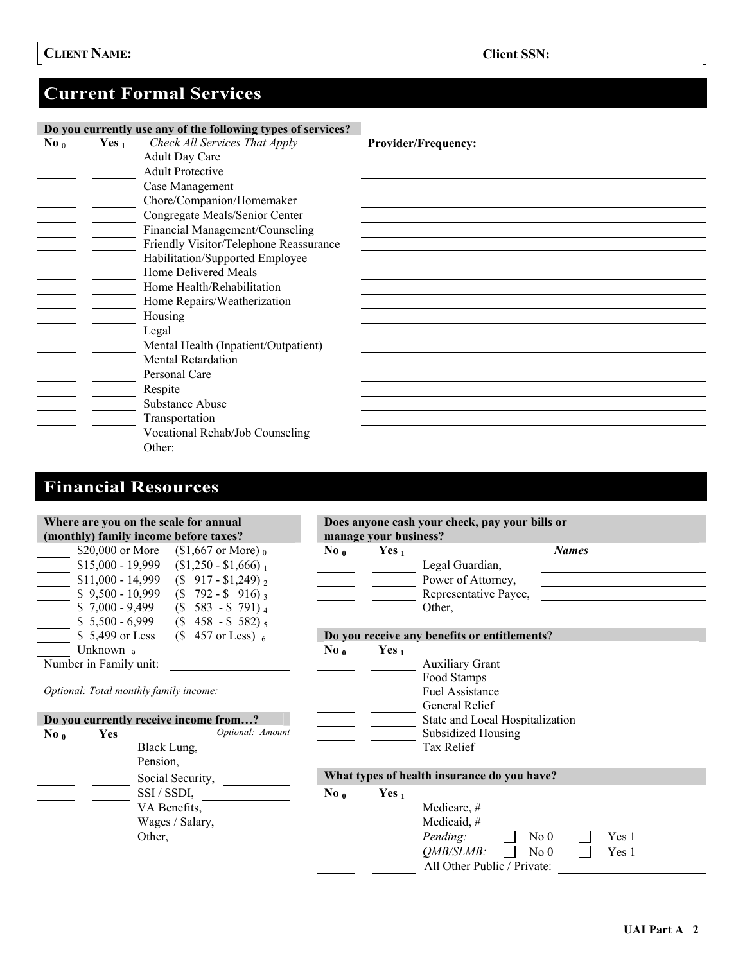# **Current Formal Services**

|                        |          | Do you currently use any of the following types of services? |                            |
|------------------------|----------|--------------------------------------------------------------|----------------------------|
| $\bf{No}$ <sub>0</sub> | Yes $_1$ | Check All Services That Apply                                | <b>Provider/Frequency:</b> |
|                        |          | <b>Adult Day Care</b>                                        |                            |
|                        |          | <b>Adult Protective</b>                                      |                            |
|                        |          | Case Management                                              |                            |
|                        |          | Chore/Companion/Homemaker                                    |                            |
|                        |          | Congregate Meals/Senior Center                               |                            |
|                        |          | Financial Management/Counseling                              |                            |
|                        |          | Friendly Visitor/Telephone Reassurance                       |                            |
|                        |          | Habilitation/Supported Employee                              |                            |
|                        |          | Home Delivered Meals                                         |                            |
|                        |          | Home Health/Rehabilitation                                   |                            |
|                        |          | Home Repairs/Weatherization                                  |                            |
|                        |          | Housing                                                      |                            |
|                        |          | Legal                                                        |                            |
|                        |          | Mental Health (Inpatient/Outpatient)                         |                            |
|                        |          | <b>Mental Retardation</b>                                    |                            |
|                        |          | Personal Care                                                |                            |
|                        |          | Respite                                                      |                            |
|                        |          | <b>Substance Abuse</b>                                       |                            |
|                        |          | Transportation                                               |                            |
|                        |          | Vocational Rehab/Job Counseling                              |                            |
|                        |          | Other:                                                       |                            |

# **Financial Resources**

|                                                 |                        | Where are you on the scale for annual<br>(monthly) family income before taxes? | Does anyone cash your check, pay your bills or<br>manage your business? |                  |                                                                                                                                             |  |  |  |
|-------------------------------------------------|------------------------|--------------------------------------------------------------------------------|-------------------------------------------------------------------------|------------------|---------------------------------------------------------------------------------------------------------------------------------------------|--|--|--|
|                                                 | \$20,000 or More       | $$1,667$ or More) $_0$                                                         | $\bf{No}$ <sub>0</sub>                                                  | Yes $_1$         | <b>Names</b>                                                                                                                                |  |  |  |
|                                                 | $$15,000 - 19,999$     | $$1,250 - $1,666$ <sub>1</sub>                                                 |                                                                         |                  | Legal Guardian,                                                                                                                             |  |  |  |
|                                                 | $$11,000 - 14,999$     | $(S\ 917 - S1,249)_2$                                                          |                                                                         |                  | <u> 1980 - Jan Barbara Barbara, maso a popular establecente de la propia de la propia de la propia de la propia d</u><br>Power of Attorney, |  |  |  |
| $\begin{array}{c}\n\hline\n\hline\n\end{array}$ |                        | $$9,500 - 10,999$ (\$ 792 - \$ 916) 3                                          |                                                                         |                  | Representative Payee,                                                                                                                       |  |  |  |
|                                                 |                        | $$7,000 - 9,499$ (\$ 583 - \$ 791) 4                                           |                                                                         |                  | <u> 1999 - Andrea State Barbara, pre</u><br>Other,                                                                                          |  |  |  |
|                                                 |                        | $$5,500 - 6,999$ $$458 - $582$ <sub>5</sub>                                    |                                                                         |                  |                                                                                                                                             |  |  |  |
|                                                 |                        |                                                                                |                                                                         |                  |                                                                                                                                             |  |  |  |
|                                                 | $$5,499$ or Less       | $($ \$457 or Less $)_6$                                                        |                                                                         |                  | Do you receive any benefits or entitlements?                                                                                                |  |  |  |
|                                                 | Unknown <sub>9</sub>   |                                                                                | $\bf{No}$ <sub>0</sub>                                                  | Yes <sub>1</sub> |                                                                                                                                             |  |  |  |
|                                                 | Number in Family unit: |                                                                                |                                                                         |                  | <b>Auxiliary Grant</b>                                                                                                                      |  |  |  |
|                                                 |                        |                                                                                |                                                                         |                  | Food Stamps                                                                                                                                 |  |  |  |
|                                                 |                        | Optional: Total monthly family income:                                         |                                                                         |                  | Fuel Assistance                                                                                                                             |  |  |  |
|                                                 |                        |                                                                                |                                                                         |                  | General Relief                                                                                                                              |  |  |  |
|                                                 |                        | Do you currently receive income from?                                          |                                                                         |                  | State and Local Hospitalization                                                                                                             |  |  |  |
| $\bf{No}$ <sub>0</sub>                          | <b>Yes</b>             | Optional: Amount                                                               |                                                                         |                  | <b>Subsidized Housing</b>                                                                                                                   |  |  |  |
|                                                 |                        |                                                                                |                                                                         |                  | Tax Relief                                                                                                                                  |  |  |  |
|                                                 |                        | Pension,                                                                       |                                                                         |                  |                                                                                                                                             |  |  |  |
|                                                 |                        |                                                                                |                                                                         |                  | What types of health insurance do you have?                                                                                                 |  |  |  |
|                                                 |                        |                                                                                |                                                                         |                  |                                                                                                                                             |  |  |  |
|                                                 |                        | SSI / SSDI,                                                                    | $\bf{No}$ <sub>0</sub>                                                  | Yes $_1$         |                                                                                                                                             |  |  |  |
|                                                 |                        | VA Benefits, $\qquad \qquad$                                                   |                                                                         |                  | Medicare, #                                                                                                                                 |  |  |  |
|                                                 |                        | Wages / Salary,                                                                |                                                                         |                  | Medicaid, #                                                                                                                                 |  |  |  |
|                                                 |                        | Other,                                                                         |                                                                         |                  | Pending:<br>No <sub>0</sub><br>Yes 1                                                                                                        |  |  |  |
|                                                 |                        |                                                                                |                                                                         |                  | <i><b>OMB/SLMB:</b></i><br>No <sub>0</sub><br>Yes 1                                                                                         |  |  |  |
|                                                 |                        |                                                                                |                                                                         |                  |                                                                                                                                             |  |  |  |
|                                                 |                        |                                                                                |                                                                         |                  | All Other Public / Private:                                                                                                                 |  |  |  |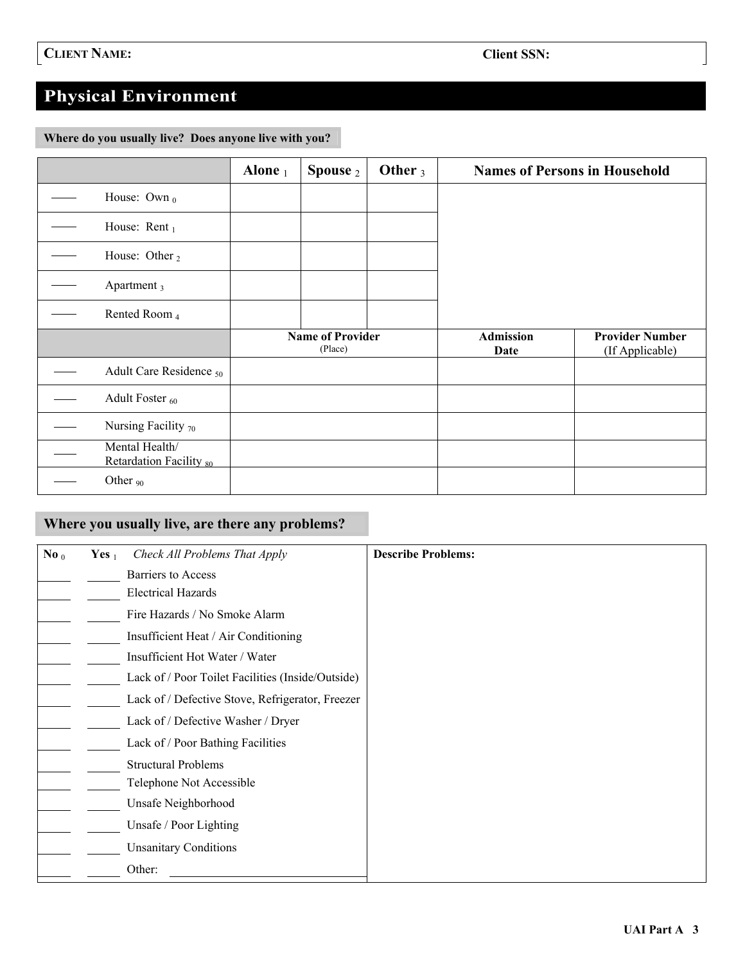# **Physical Environment**

**Where do you usually live? Does anyone live with you?** 

|                                           | Alone $_1$ | Spouse 2                           | Other $_3$ | <b>Names of Persons in Household</b> |                                           |
|-------------------------------------------|------------|------------------------------------|------------|--------------------------------------|-------------------------------------------|
| House: Own $_0$                           |            |                                    |            |                                      |                                           |
| House: Rent $_1$                          |            |                                    |            |                                      |                                           |
| House: Other <sub>2</sub>                 |            |                                    |            |                                      |                                           |
| Apartment <sub>3</sub>                    |            |                                    |            |                                      |                                           |
| Rented Room 4                             |            |                                    |            |                                      |                                           |
|                                           |            | <b>Name of Provider</b><br>(Place) |            | <b>Admission</b><br>Date             | <b>Provider Number</b><br>(If Applicable) |
| Adult Care Residence <sub>50</sub>        |            |                                    |            |                                      |                                           |
| Adult Foster <sub>60</sub>                |            |                                    |            |                                      |                                           |
| Nursing Facility $70$                     |            |                                    |            |                                      |                                           |
| Mental Health/<br>Retardation Facility 80 |            |                                    |            |                                      |                                           |
| Other <sub>90</sub>                       |            |                                    |            |                                      |                                           |

## **Where you usually live, are there any problems?**

| No $0$ | Yes $_1$ | Check All Problems That Apply                     | <b>Describe Problems:</b> |
|--------|----------|---------------------------------------------------|---------------------------|
|        |          | <b>Barriers</b> to Access                         |                           |
|        |          | <b>Electrical Hazards</b>                         |                           |
|        |          | Fire Hazards / No Smoke Alarm                     |                           |
|        |          | Insufficient Heat / Air Conditioning              |                           |
|        |          | Insufficient Hot Water / Water                    |                           |
|        |          | Lack of / Poor Toilet Facilities (Inside/Outside) |                           |
|        |          | Lack of / Defective Stove, Refrigerator, Freezer  |                           |
|        |          | Lack of / Defective Washer / Dryer                |                           |
|        |          | Lack of / Poor Bathing Facilities                 |                           |
|        |          | <b>Structural Problems</b>                        |                           |
|        |          | Telephone Not Accessible                          |                           |
|        |          | Unsafe Neighborhood                               |                           |
|        |          | Unsafe / Poor Lighting                            |                           |
|        |          | <b>Unsanitary Conditions</b>                      |                           |
|        |          | Other:                                            |                           |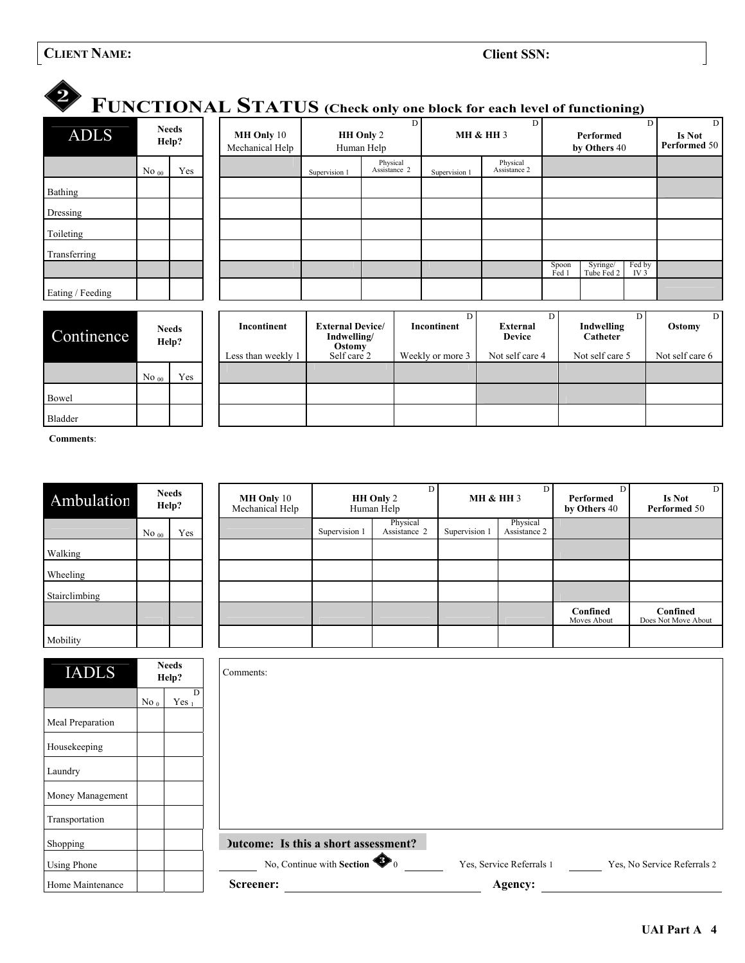# **CLIENT NAME:** CLIENT NAME:

| FUNCTIONAL STATUS (Check only one block for each level of functioning)<br><b>ADLS</b> |                  | <b>Needs</b><br>Help? | MH Only 10<br>Mechanical Help |                                                  | D<br>HH Only 2<br>Human Help |  | D.<br><b>MH &amp; HH 3</b> |                                  | D<br>Performed<br>by Others 40 |                        | $\mathbf{D}$<br><b>Is Not</b><br>Performed 50 |                 |
|---------------------------------------------------------------------------------------|------------------|-----------------------|-------------------------------|--------------------------------------------------|------------------------------|--|----------------------------|----------------------------------|--------------------------------|------------------------|-----------------------------------------------|-----------------|
|                                                                                       | $No$ 00          | Yes                   |                               | Supervision 1                                    | Physical<br>Assistance 2     |  | Supervision 1              | Physical<br>Assistance 2         |                                |                        |                                               |                 |
| Bathing                                                                               |                  |                       |                               |                                                  |                              |  |                            |                                  |                                |                        |                                               |                 |
| Dressing                                                                              |                  |                       |                               |                                                  |                              |  |                            |                                  |                                |                        |                                               |                 |
| Toileting                                                                             |                  |                       |                               |                                                  |                              |  |                            |                                  |                                |                        |                                               |                 |
| Transferring                                                                          |                  |                       |                               |                                                  |                              |  |                            |                                  |                                |                        |                                               |                 |
|                                                                                       |                  |                       |                               |                                                  |                              |  |                            |                                  | Spoon<br>Fed 1                 | Syringe/<br>Tube Fed 2 | Fed by<br>IV <sub>3</sub>                     |                 |
| Eating / Feeding                                                                      |                  |                       |                               |                                                  |                              |  |                            |                                  |                                |                        |                                               |                 |
| Continence                                                                            |                  | <b>Needs</b><br>Help? | Incontinent                   | <b>External Device/</b><br>Indwelling/<br>Ostomy |                              |  | D<br>Incontinent           | <b>External</b><br><b>Device</b> | D                              | Indwelling<br>Catheter | D                                             | D<br>Ostomy     |
|                                                                                       |                  |                       | Less than weekly 1            | Self care 2                                      |                              |  | Weekly or more 3           | Not self care 4                  |                                | Not self care 5        |                                               | Not self care 6 |
|                                                                                       | No <sub>00</sub> | Yes                   |                               |                                                  |                              |  |                            |                                  |                                |                        |                                               |                 |
| Bowel                                                                                 |                  |                       |                               |                                                  |                              |  |                            |                                  |                                |                        |                                               |                 |
| Bladder                                                                               |                  |                       |                               |                                                  |                              |  |                            |                                  |                                |                        |                                               |                 |

**Comments**:

| Ambulation    | Needs<br>Help?   |     |  |  |
|---------------|------------------|-----|--|--|
|               | No <sub>00</sub> | Yes |  |  |
| Walking       |                  |     |  |  |
| Wheeling      |                  |     |  |  |
| Stairclimbing |                  |     |  |  |
|               |                  |     |  |  |
| Mobility      |                  |     |  |  |

|           | <b>Needs</b><br>Help? |  | <b>MH Only</b> 10<br>Mechanical Help | D<br>HH Only 2<br>Human Help |                          | <b>MH &amp; HH 3</b> |                          | Performed<br>by Others 40 | D<br><b>Is Not</b><br>Performed 50 |
|-----------|-----------------------|--|--------------------------------------|------------------------------|--------------------------|----------------------|--------------------------|---------------------------|------------------------------------|
| $No_{00}$ | Yes                   |  |                                      | Supervision 1                | Physical<br>Assistance 2 | Supervision 1        | Physical<br>Assistance 2 |                           |                                    |
|           |                       |  |                                      |                              |                          |                      |                          |                           |                                    |
|           |                       |  |                                      |                              |                          |                      |                          |                           |                                    |
|           |                       |  |                                      |                              |                          |                      |                          |                           |                                    |
|           |                       |  |                                      |                              |                          |                      |                          | Confined<br>Moves About   | Confined<br>Does Not Move About    |
|           |                       |  |                                      |                              |                          |                      |                          |                           |                                    |
| $-1$      |                       |  |                                      |                              |                          |                      |                          |                           |                                    |

| <b>IADLS</b>       |                 | <b>Needs</b><br>Help? | Comments:                             |                                                         |
|--------------------|-----------------|-----------------------|---------------------------------------|---------------------------------------------------------|
|                    | No <sub>0</sub> | D<br>Yes $_1$         |                                       |                                                         |
| Meal Preparation   |                 |                       |                                       |                                                         |
| Housekeeping       |                 |                       |                                       |                                                         |
| Laundry            |                 |                       |                                       |                                                         |
| Money Management   |                 |                       |                                       |                                                         |
| Transportation     |                 |                       |                                       |                                                         |
| Shopping           |                 |                       | Dutcome: Is this a short assessment?  |                                                         |
| <b>Using Phone</b> |                 |                       | No, Continue with Section $\bullet$ 0 | Yes, Service Referrals 1<br>Yes, No Service Referrals 2 |
| Home Maintenance   |                 |                       | Screener:                             | Agency:                                                 |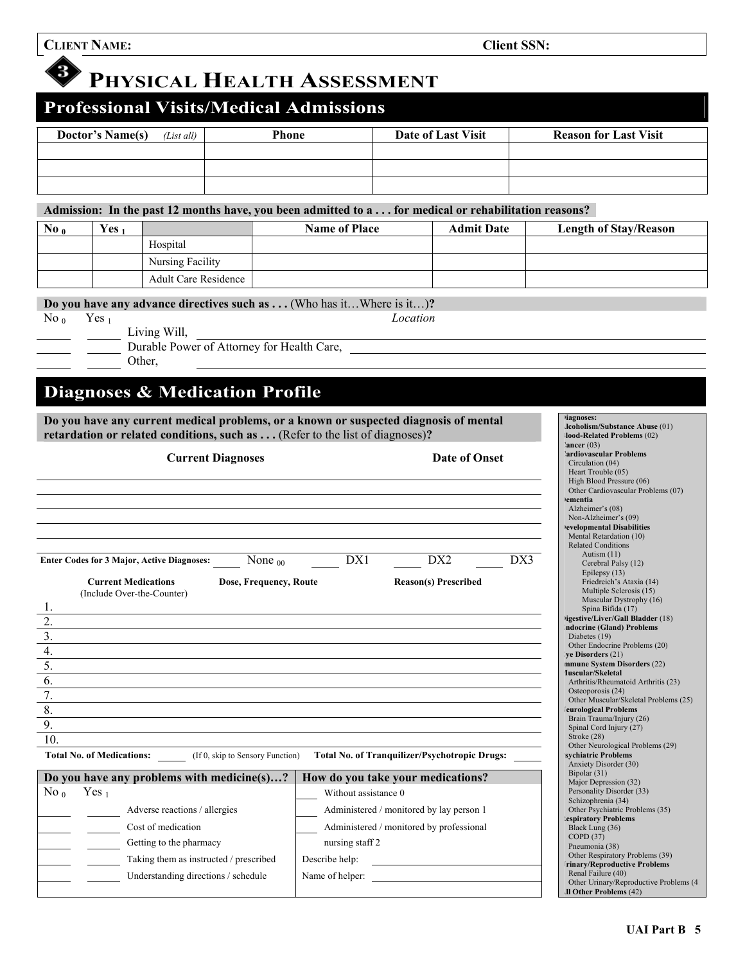3

# **PHYSICAL HEALTH ASSESSMENT**

## **Professional Visits/Medical Admissions**

| <b>Doctor's Name(s)</b><br>$(List$ all) | Phone | Date of Last Visit | <b>Reason for Last Visit</b> |
|-----------------------------------------|-------|--------------------|------------------------------|
|                                         |       |                    |                              |
|                                         |       |                    |                              |
|                                         |       |                    |                              |

**Admission: In the past 12 months have, you been admitted to a . . . for medical or rehabilitation reasons?** 

| No <sub>0</sub> | Yes, |                      | <b>Name of Place</b> | <b>Admit Date</b> | <b>Length of Stay/Reason</b> |
|-----------------|------|----------------------|----------------------|-------------------|------------------------------|
|                 |      | Hospital             |                      |                   |                              |
|                 |      | Nursing Facility     |                      |                   |                              |
|                 |      | Adult Care Residence |                      |                   |                              |

**Do you have any advance directives such as ...** (Who has it...Where is it...)?

No <sub>0</sub> Yes <sub>1</sub> *Location* 

Living Will,

Durable Power of Attorney for Health Care,

Other,

## **Diagnoses & Medication Profile**

**Do you have any current medical problems, or a known or suspected diagnosis of mental**  retardation or related conditions, such as . . . (Refer to the list of diagnoses)?

| <b>Current Diagnoses</b>                                                           |                                   | <b>Date of Onset</b>                                 |     | $\text{Lancer}(03)$<br>ardiovascular Problems'<br>Circulation (04)<br>Heart Trouble (05)<br>High Blood Pressure (06)<br>Other Cardiovascular Problems (07)<br><b>)ementia</b><br>Alzheimer's (08) |
|------------------------------------------------------------------------------------|-----------------------------------|------------------------------------------------------|-----|---------------------------------------------------------------------------------------------------------------------------------------------------------------------------------------------------|
|                                                                                    |                                   |                                                      |     | Non-Alzheimer's (09)<br><b>evelopmental Disabilities</b><br>Mental Retardation (10)                                                                                                               |
| <b>Enter Codes for 3 Major, Active Diagnoses:</b><br>None $_{00}$                  | DX1                               | DX <sub>2</sub>                                      | DX3 | <b>Related Conditions</b><br>Autism $(11)$<br>Cerebral Palsy (12)                                                                                                                                 |
| <b>Current Medications</b><br>Dose, Frequency, Route<br>(Include Over-the-Counter) |                                   | <b>Reason(s) Prescribed</b>                          |     | Epilepsy $(13)$<br>Friedreich's Ataxia (14)<br>Multiple Sclerosis (15)<br>Muscular Dystrophy (16)                                                                                                 |
|                                                                                    |                                   |                                                      |     | Spina Bifida (17)<br>ligestive/Liver/Gall Bladder (18)                                                                                                                                            |
| $\overline{2}$ .                                                                   |                                   |                                                      |     | ndocrine (Gland) Problems                                                                                                                                                                         |
| $\frac{3}{4}$                                                                      |                                   |                                                      |     | Diabetes (19)<br>Other Endocrine Problems (20)                                                                                                                                                    |
|                                                                                    |                                   |                                                      |     | ye Disorders (21)<br>mmune System Disorders (22)                                                                                                                                                  |
| $\overline{5}$ .                                                                   |                                   |                                                      |     | <b>Iuscular/Skeletal</b>                                                                                                                                                                          |
| 6.                                                                                 |                                   |                                                      |     | Arthritis/Rheumatoid Arthritis (23)<br>Osteoporosis (24)                                                                                                                                          |
| $\overline{7}$ .                                                                   |                                   |                                                      |     | Other Muscular/Skeletal Problems (25)                                                                                                                                                             |
| 8.                                                                                 |                                   |                                                      |     | eurological Problems<br>Brain Trauma/Injury (26)                                                                                                                                                  |
| $\overline{9}$ .                                                                   |                                   |                                                      |     | Spinal Cord Injury (27)<br>Stroke $(28)$                                                                                                                                                          |
| 10.                                                                                |                                   |                                                      |     | Other Neurological Problems (29)                                                                                                                                                                  |
| <b>Total No. of Medications:</b><br>(If 0, skip to Sensory Function)               |                                   | <b>Total No. of Tranquilizer/Psychotropic Drugs:</b> |     | svchiatric Problems<br>Anxiety Disorder (30)                                                                                                                                                      |
| Do you have any problems with medicine(s)?                                         | How do you take your medications? |                                                      |     | Bipolar (31)<br>Major Depression (32)                                                                                                                                                             |
| Yes $_1$<br>No <sub>0</sub>                                                        | Without assistance 0              |                                                      |     | Personality Disorder (33)                                                                                                                                                                         |
| Adverse reactions / allergies                                                      |                                   | Administered / monitored by lay person 1             |     | Schizophrenia (34)<br>Other Psychiatric Problems (35)                                                                                                                                             |
| Cost of medication                                                                 |                                   | Administered / monitored by professional             |     | <b>lespiratory Problems</b><br>Black Lung (36)                                                                                                                                                    |
| Getting to the pharmacy                                                            | nursing staff 2                   |                                                      |     | COPD (37)                                                                                                                                                                                         |
|                                                                                    |                                   |                                                      |     | Pneumonia (38)<br>Other Respiratory Problems (39)                                                                                                                                                 |
| Taking them as instructed / prescribed                                             | Describe help:                    |                                                      |     | <b>Trinary/Reproductive Problems</b><br>Renal Failure (40)                                                                                                                                        |
| Understanding directions / schedule                                                | Name of helper:                   |                                                      |     | Other Urinary/Reproductive Problems (4)<br><b>II Other Problems (42)</b>                                                                                                                          |

**Diagnoses:** 

**Alcoholism/Substance Abuse** (01) **Blood-Related Problems** (02)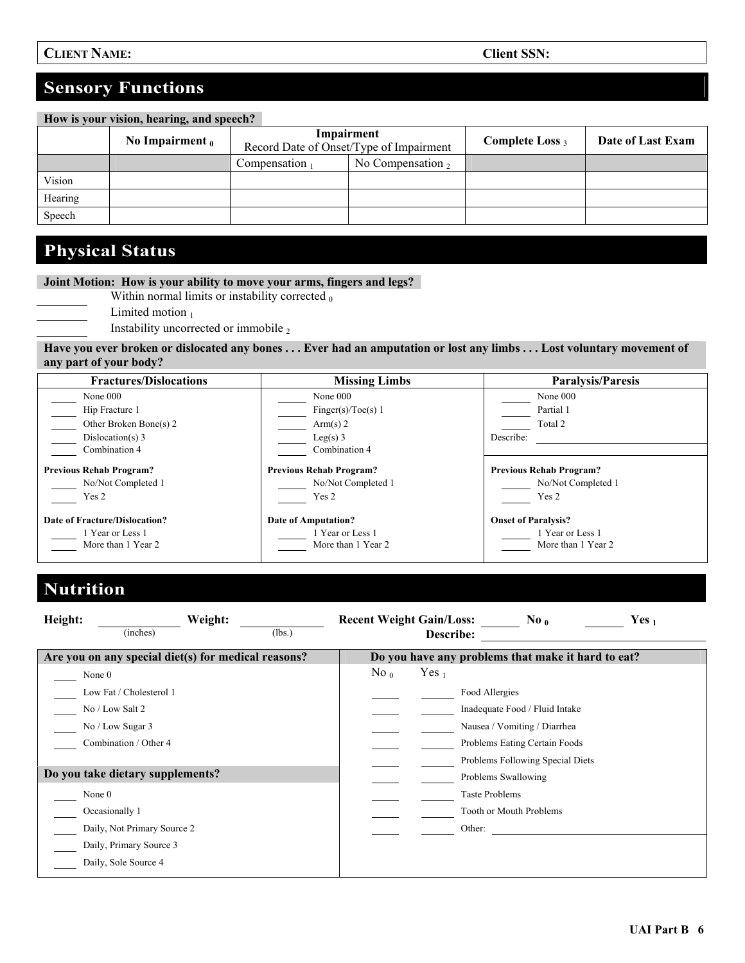| How is your vision, hearing, and speech? |                   |                                                       |                      |                    |                   |  |  |
|------------------------------------------|-------------------|-------------------------------------------------------|----------------------|--------------------|-------------------|--|--|
|                                          | No Impairment $0$ | Impairment<br>Record Date of Onset/Type of Impairment |                      | Complete Loss $_3$ | Date of Last Exam |  |  |
|                                          |                   | Compensation $_1$                                     | No Compensation $_2$ |                    |                   |  |  |
| Vision                                   |                   |                                                       |                      |                    |                   |  |  |
| Hearing                                  |                   |                                                       |                      |                    |                   |  |  |
| Speech                                   |                   |                                                       |                      |                    |                   |  |  |

## **Physical Status**

### **Joint Motion: How is your ability to move your arms, fingers and legs?**

Within normal limits or instability corrected  $<sub>0</sub>$ </sub>

Limited motion  $<sub>1</sub>$ </sub>

Instability uncorrected or immobile  $_2$ 

**Have you ever broken or dislocated any bones . . . Ever had an amputation or lost any limbs . . . Lost voluntary movement of any part of your body?** 

| <b>Fractures/Dislocations</b>  | <b>Missing Limbs</b>           | <b>Paralysis/Paresis</b>       |
|--------------------------------|--------------------------------|--------------------------------|
| None 000                       | None $000$                     | None 000                       |
| Hip Fracture 1                 | Finger(s)/Toe(s) $1$           | Partial 1                      |
| Other Broken Bone(s) 2         | Arm(s) 2                       | Total 2                        |
| Dislocation(s) $3$             | $Leg(s)$ 3                     | Describe:                      |
| Combination 4                  | Combination 4                  |                                |
| <b>Previous Rehab Program?</b> | <b>Previous Rehab Program?</b> | <b>Previous Rehab Program?</b> |
| No/Not Completed 1             | No/Not Completed 1             | No/Not Completed 1             |
| Yes 2                          | Yes 2                          | Yes 2                          |
| Date of Fracture/Dislocation?  | Date of Amputation?            | <b>Onset of Paralysis?</b>     |
| Year or Less 1                 | 1 Year or Less 1               | 1 Year or Less 1               |
| More than 1 Year 2             | More than 1 Year 2             | More than 1 Year 2             |

# **Nutrition**

| Height: | Weight:                                             |        | <b>Recent Weight Gain/Loss:</b> |                  | $\bf{No}$ <sub>0</sub>                             | Yes $_1$ |
|---------|-----------------------------------------------------|--------|---------------------------------|------------------|----------------------------------------------------|----------|
|         | (inches)                                            | (lbs.) |                                 | Describe:        |                                                    |          |
|         | Are you on any special diet(s) for medical reasons? |        |                                 |                  | Do you have any problems that make it hard to eat? |          |
| None 0  |                                                     |        | $\mathrm{No}$ <sub>0</sub>      | Yes <sub>1</sub> |                                                    |          |
|         | Low Fat / Cholesterol 1                             |        |                                 |                  | Food Allergies                                     |          |
|         | No / Low Salt 2                                     |        |                                 |                  | Inadequate Food / Fluid Intake                     |          |
|         | No / Low Sugar 3                                    |        |                                 |                  | Nausea / Vomiting / Diarrhea                       |          |
|         | Combination / Other 4                               |        |                                 |                  | Problems Eating Certain Foods                      |          |
|         |                                                     |        |                                 |                  | Problems Following Special Diets                   |          |
|         | Do you take dietary supplements?                    |        |                                 |                  | Problems Swallowing                                |          |
| None 0  |                                                     |        |                                 |                  | <b>Taste Problems</b>                              |          |
|         | Occasionally 1                                      |        |                                 |                  | Tooth or Mouth Problems                            |          |
|         | Daily, Not Primary Source 2                         |        |                                 |                  | Other:                                             |          |
|         | Daily, Primary Source 3                             |        |                                 |                  |                                                    |          |
|         | Daily, Sole Source 4                                |        |                                 |                  |                                                    |          |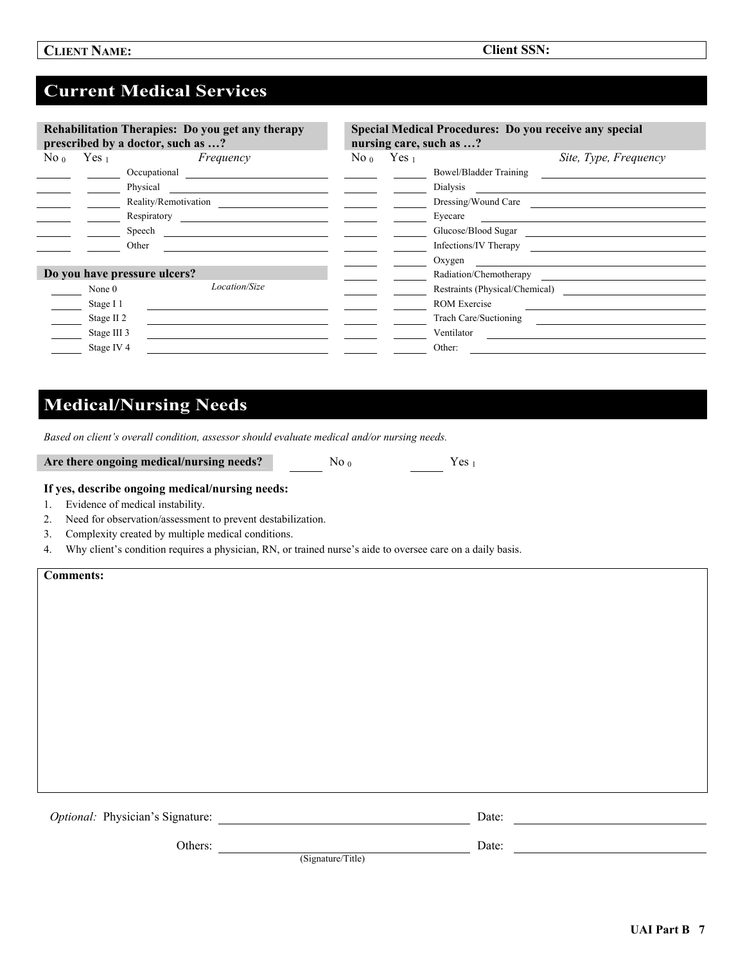## **Current Medical Services**

| Rehabilitation Therapies: Do you get any therapy<br>prescribed by a doctor, such as ? |                       |                              |         |                  | Special Medical Procedures: Do you receive any special<br>nursing care, such as ? |
|---------------------------------------------------------------------------------------|-----------------------|------------------------------|---------|------------------|-----------------------------------------------------------------------------------|
| $\mathrm{No}$ <sub>0</sub>                                                            | Yes <sub>1</sub>      | Frequency                    | No $_0$ | Yes <sub>1</sub> | Site, Type, Frequency                                                             |
|                                                                                       |                       | Occupational                 |         |                  | Bowel/Bladder Training                                                            |
|                                                                                       |                       | Physical                     |         |                  | Dialysis                                                                          |
|                                                                                       |                       | Reality/Remotivation         |         |                  | Dressing/Wound Care                                                               |
|                                                                                       |                       | Respiratory                  |         |                  | Eyecare                                                                           |
|                                                                                       |                       | Speech                       |         |                  | Glucose/Blood Sugar                                                               |
|                                                                                       |                       | Other                        |         |                  | Infections/IV Therapy                                                             |
|                                                                                       |                       |                              |         |                  | Oxygen                                                                            |
|                                                                                       |                       | Do you have pressure ulcers? |         |                  | Radiation/Chemotherapy                                                            |
|                                                                                       | None $0$              | Location/Size                |         |                  | Restraints (Physical/Chemical)                                                    |
|                                                                                       | Stage I 1             |                              |         |                  | <b>ROM Exercise</b>                                                               |
|                                                                                       | Stage II <sub>2</sub> |                              |         |                  | Trach Care/Suctioning                                                             |
|                                                                                       | Stage III 3           |                              |         |                  | Ventilator                                                                        |
|                                                                                       | Stage IV <sub>4</sub> |                              |         |                  | Other:                                                                            |

## **Medical/Nursing Needs**

*Based on client's overall condition, assessor should evaluate medical and/or nursing needs.* 

Are there ongoing medical/nursing needs? No <sub>0</sub> No <sub>0</sub> Yes <sub>1</sub>

(Signature/Title)

#### **If yes, describe ongoing medical/nursing needs:**

- 1. Evidence of medical instability.
- 2. Need for observation/assessment to prevent destabilization.
- 3. Complexity created by multiple medical conditions.
- 4. Why client's condition requires a physician, RN, or trained nurse's aide to oversee care on a daily basis.

**Comments:**

*Optional:* Physician's Signature: Date: Date:

Others: Date: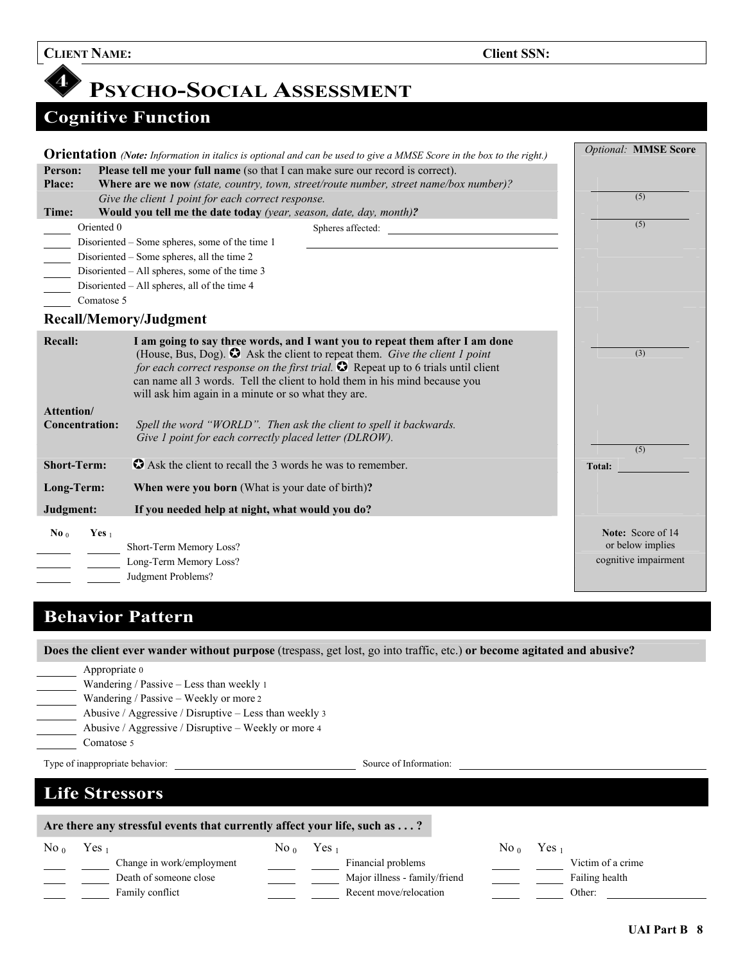# **PSYCHO-SOCIAL ASSESSMENT**

# **Cognitive Function**

|                                     | <b>Orientation</b> (Note: Information in italics is optional and can be used to give a MMSE Score in the box to the right.)                                                                                                                                                                                                                                                                            | <b>Optional: MMSE Score</b>                                   |
|-------------------------------------|--------------------------------------------------------------------------------------------------------------------------------------------------------------------------------------------------------------------------------------------------------------------------------------------------------------------------------------------------------------------------------------------------------|---------------------------------------------------------------|
| Person:                             | Please tell me your full name (so that I can make sure our record is correct).                                                                                                                                                                                                                                                                                                                         |                                                               |
| Place:                              | Where are we now (state, country, town, street/route number, street name/box number)?                                                                                                                                                                                                                                                                                                                  |                                                               |
|                                     | Give the client 1 point for each correct response.                                                                                                                                                                                                                                                                                                                                                     | (5)                                                           |
| Time:                               | Would you tell me the date today (year, season, date, day, month)?                                                                                                                                                                                                                                                                                                                                     |                                                               |
| Oriented 0                          | Spheres affected:                                                                                                                                                                                                                                                                                                                                                                                      | (5)                                                           |
|                                     | Disoriented - Some spheres, some of the time 1                                                                                                                                                                                                                                                                                                                                                         |                                                               |
|                                     | Disoriented – Some spheres, all the time 2                                                                                                                                                                                                                                                                                                                                                             |                                                               |
| $\frac{1}{\sqrt{1-\frac{1}{2}}}$    | Disoriented – All spheres, some of the time 3                                                                                                                                                                                                                                                                                                                                                          |                                                               |
|                                     | Disoriented – All spheres, all of the time 4                                                                                                                                                                                                                                                                                                                                                           |                                                               |
| Comatose 5                          |                                                                                                                                                                                                                                                                                                                                                                                                        |                                                               |
|                                     | Recall/Memory/Judgment                                                                                                                                                                                                                                                                                                                                                                                 |                                                               |
| <b>Recall:</b>                      | I am going to say three words, and I want you to repeat them after I am done<br>(House, Bus, Dog). $\bullet$ Ask the client to repeat them. Give the client 1 point<br>for each correct response on the first trial. $\bullet$ Repeat up to 6 trials until client<br>can name all 3 words. Tell the client to hold them in his mind because you<br>will ask him again in a minute or so what they are. | (3)                                                           |
| Attention/<br><b>Concentration:</b> | Spell the word "WORLD". Then ask the client to spell it backwards.<br>Give 1 point for each correctly placed letter (DLROW).                                                                                                                                                                                                                                                                           | (5)                                                           |
| <b>Short-Term:</b>                  | Ask the client to recall the 3 words he was to remember.                                                                                                                                                                                                                                                                                                                                               | <b>Total:</b>                                                 |
| Long-Term:                          | When were you born (What is your date of birth)?                                                                                                                                                                                                                                                                                                                                                       |                                                               |
| Judgment:                           | If you needed help at night, what would you do?                                                                                                                                                                                                                                                                                                                                                        |                                                               |
| Yes $_1$<br>$\bf{No}$ <sub>0</sub>  | Short-Term Memory Loss?<br>Long-Term Memory Loss?<br>Judgment Problems?                                                                                                                                                                                                                                                                                                                                | Note: Score of 14<br>or below implies<br>cognitive impairment |

## **Behavior Pattern**

**Does the client ever wander without purpose** (trespass, get lost, go into traffic, etc.) **or become agitated and abusive?** 

| Does the enemy of a municipal particle participals, for lost, for the traine, etc.) or become agruited and abasive. |                                                 |  |  |  |  |  |  |
|---------------------------------------------------------------------------------------------------------------------|-------------------------------------------------|--|--|--|--|--|--|
| Appropriate 0                                                                                                       |                                                 |  |  |  |  |  |  |
| Wandering / Passive - Less than weekly 1                                                                            |                                                 |  |  |  |  |  |  |
| Wandering / Passive – Weekly or more 2                                                                              |                                                 |  |  |  |  |  |  |
| Abusive / Aggressive / Disruptive – Less than weekly 3                                                              |                                                 |  |  |  |  |  |  |
| Abusive / Aggressive / Disruptive – Weekly or more 4                                                                |                                                 |  |  |  |  |  |  |
| Comatose 5                                                                                                          |                                                 |  |  |  |  |  |  |
| Type of inappropriate behavior:<br>Source of Information:                                                           |                                                 |  |  |  |  |  |  |
|                                                                                                                     |                                                 |  |  |  |  |  |  |
|                                                                                                                     |                                                 |  |  |  |  |  |  |
| <b>Life Stressors</b>                                                                                               |                                                 |  |  |  |  |  |  |
|                                                                                                                     |                                                 |  |  |  |  |  |  |
| Are there any stressful events that currently affect your life, such as ?                                           |                                                 |  |  |  |  |  |  |
| Yes <sub>1</sub><br>$\mathrm{No}$ <sub>0</sub><br>Yes <sub>1</sub><br>No $_0$                                       | Yes <sub>1</sub><br>No <sub>0</sub>             |  |  |  |  |  |  |
| Change in work/employment                                                                                           | Financial problems<br>Victim of a crime         |  |  |  |  |  |  |
| Death of someone close                                                                                              | Major illness - family/friend<br>Failing health |  |  |  |  |  |  |
| Family conflict                                                                                                     | Recent move/relocation<br>Other:                |  |  |  |  |  |  |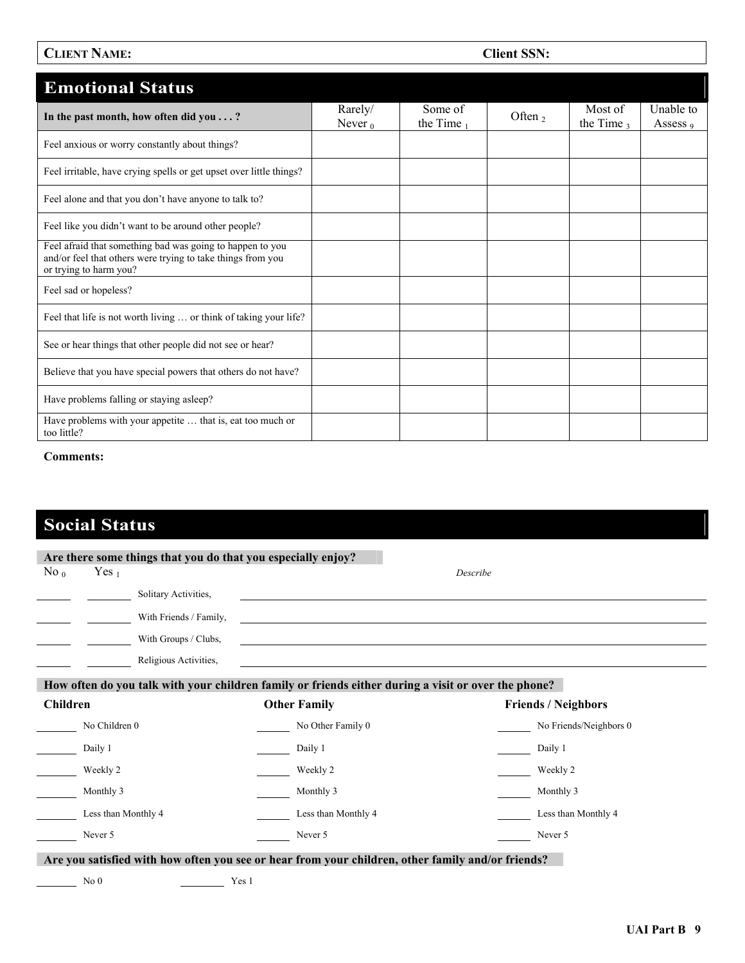### **CLIENT NAME: CLIENT NAME: Client SSN:**

| <b>Emotional Status</b>                                                                                                                            |                       |                     |           |                          |                       |
|----------------------------------------------------------------------------------------------------------------------------------------------------|-----------------------|---------------------|-----------|--------------------------|-----------------------|
| In the past month, how often did you ?                                                                                                             | Rarely/<br>Never $_0$ | Some of<br>the Time | Often $2$ | Most of<br>the Time $_3$ | Unable to<br>Assess 9 |
| Feel anxious or worry constantly about things?                                                                                                     |                       |                     |           |                          |                       |
| Feel irritable, have crying spells or get upset over little things?                                                                                |                       |                     |           |                          |                       |
| Feel alone and that you don't have anyone to talk to?                                                                                              |                       |                     |           |                          |                       |
| Feel like you didn't want to be around other people?                                                                                               |                       |                     |           |                          |                       |
| Feel afraid that something bad was going to happen to you<br>and/or feel that others were trying to take things from you<br>or trying to harm you? |                       |                     |           |                          |                       |
| Feel sad or hopeless?                                                                                                                              |                       |                     |           |                          |                       |
| Feel that life is not worth living  or think of taking your life?                                                                                  |                       |                     |           |                          |                       |
| See or hear things that other people did not see or hear?                                                                                          |                       |                     |           |                          |                       |
| Believe that you have special powers that others do not have?                                                                                      |                       |                     |           |                          |                       |
| Have problems falling or staying asleep?                                                                                                           |                       |                     |           |                          |                       |
| Have problems with your appetite  that is, eat too much or<br>too little?                                                                          |                       |                     |           |                          |                       |

#### **Comments:**

# **Social Status**

|                   |                     | Are there some things that you do that you especially enjoy? |                                                                                                                        |                            |
|-------------------|---------------------|--------------------------------------------------------------|------------------------------------------------------------------------------------------------------------------------|----------------------------|
| $\mathrm{No}_{0}$ | Yes $_1$            |                                                              |                                                                                                                        | Describe                   |
|                   |                     | Solitary Activities,                                         |                                                                                                                        |                            |
|                   |                     | With Friends / Family,                                       | <u> 1980 - Johann Stoff, deutscher Stoffen und der Stoffen und der Stoffen und der Stoffen und der Stoffen und der</u> |                            |
|                   |                     | With Groups / Clubs,                                         |                                                                                                                        |                            |
|                   |                     | Religious Activities,                                        |                                                                                                                        |                            |
|                   |                     |                                                              | How often do you talk with your children family or friends either during a visit or over the phone?                    |                            |
| <b>Children</b>   |                     |                                                              | <b>Other Family</b>                                                                                                    | <b>Friends / Neighbors</b> |
|                   | No Children 0       |                                                              | No Other Family 0                                                                                                      | No Friends/Neighbors 0     |
|                   | Daily 1             |                                                              | Daily 1                                                                                                                | Daily 1                    |
|                   | Weekly 2            |                                                              | Weekly 2                                                                                                               | Weekly 2                   |
|                   | Monthly 3           |                                                              | Monthly 3                                                                                                              | Monthly 3                  |
|                   | Less than Monthly 4 |                                                              | Less than Monthly 4                                                                                                    | Less than Monthly 4        |
|                   | Never 5             |                                                              | Never 5                                                                                                                | Never 5                    |
|                   |                     |                                                              | Are you satisfied with how often you see or hear from your children, other family and/or friends?                      |                            |
|                   | No <sub>0</sub>     | Yes 1                                                        |                                                                                                                        |                            |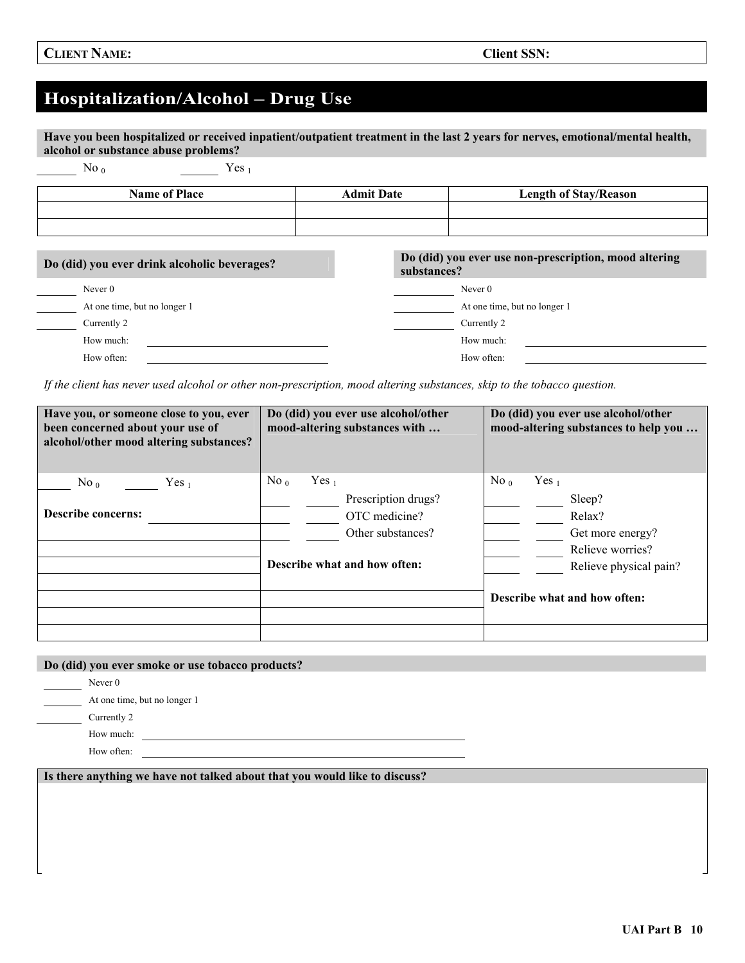## **Hospitalization/Alcohol – Drug Use**

**Have you been hospitalized or received inpatient/outpatient treatment in the last 2 years for nerves, emotional/mental health, alcohol or substance abuse problems?** 

No  $_0$  Yes  $_1$ 

| <b>Name of Place</b>                         | <b>Admit Date</b> | <b>Length of Stay/Reason</b>                          |
|----------------------------------------------|-------------------|-------------------------------------------------------|
|                                              |                   |                                                       |
|                                              |                   |                                                       |
| Do (did) you ever drink alcoholic beverages? | substances?       | Do (did) you ever use non-prescription, mood altering |
| Never $0$                                    |                   | Never $0$                                             |
| At one time, but no longer 1                 |                   | At one time, but no longer 1                          |
| Currently 2                                  |                   | Currently 2                                           |

*If the client has never used alcohol or other non-prescription, mood altering substances, skip to the tobacco question.* 

How much: How much: How much: How much: How much: How much: How much: How much: How much: How much: How much:  $\frac{1}{2}$ How often: How often:

| Have you, or someone close to you, ever<br>been concerned about your use of<br>alcohol/other mood altering substances? | Do (did) you ever use alcohol/other<br>mood-altering substances with                                                               | Do (did) you ever use alcohol/other<br>mood-altering substances to help you                                                                                 |  |  |
|------------------------------------------------------------------------------------------------------------------------|------------------------------------------------------------------------------------------------------------------------------------|-------------------------------------------------------------------------------------------------------------------------------------------------------------|--|--|
| No <sub>0</sub><br>Yes <sub>1</sub><br><b>Describe concerns:</b>                                                       | $\mathrm{No}_{0}$<br>Yes <sub>1</sub><br>Prescription drugs?<br>OTC medicine?<br>Other substances?<br>Describe what and how often: | $\mathrm{No}_{0}$<br>Yes <sub>1</sub><br>Sleep?<br>Relax?<br>Get more energy?<br>Relieve worries?<br>Relieve physical pain?<br>Describe what and how often: |  |  |

#### **Do (did) you ever smoke or use tobacco products?**

Never 0

At one time, but no longer 1

Currently 2

How much:

How often:

**Is there anything we have not talked about that you would like to discuss?**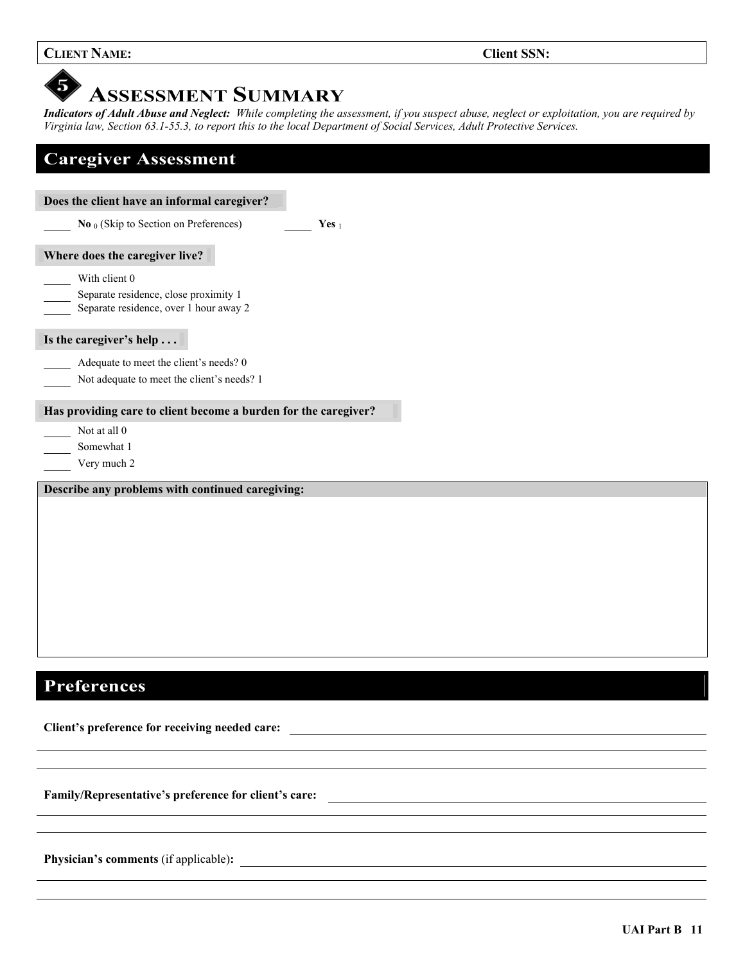#### **CLIENT NAME: CLIENT NAME: CLIENT**

#### 5 **ASSESSMENT SUMMARY**

*Indicators of Adult Abuse and Neglect: While completing the assessment, if you suspect abuse, neglect or exploitation, you are required by Virginia law, Section 63.1-55.3, to report this to the local Department of Social Services, Adult Protective Services.* 

| <b>Caregiver Assessment</b>                                                                      |  |  |  |  |  |
|--------------------------------------------------------------------------------------------------|--|--|--|--|--|
| Does the client have an informal caregiver?                                                      |  |  |  |  |  |
| <b>No</b> <sub>0</sub> (Skip to Section on Preferences)<br>Yes $_1$                              |  |  |  |  |  |
| Where does the caregiver live?                                                                   |  |  |  |  |  |
| With client 0<br>Separate residence, close proximity 1<br>Separate residence, over 1 hour away 2 |  |  |  |  |  |
| Is the caregiver's help                                                                          |  |  |  |  |  |
| Adequate to meet the client's needs? 0<br>Not adequate to meet the client's needs? 1             |  |  |  |  |  |
| Has providing care to client become a burden for the caregiver?                                  |  |  |  |  |  |
| Not at all 0                                                                                     |  |  |  |  |  |
| Somewhat 1<br>Very much 2                                                                        |  |  |  |  |  |
| Describe any problems with continued caregiving:                                                 |  |  |  |  |  |
|                                                                                                  |  |  |  |  |  |
|                                                                                                  |  |  |  |  |  |
|                                                                                                  |  |  |  |  |  |
|                                                                                                  |  |  |  |  |  |
|                                                                                                  |  |  |  |  |  |
|                                                                                                  |  |  |  |  |  |
|                                                                                                  |  |  |  |  |  |

## **Preferences**

 $\overline{\phantom{a}}$ 

**Client's preference for receiving needed care:** 

**Family/Representative's preference for client's care:** 

**Physician's comments** (if applicable)**:**